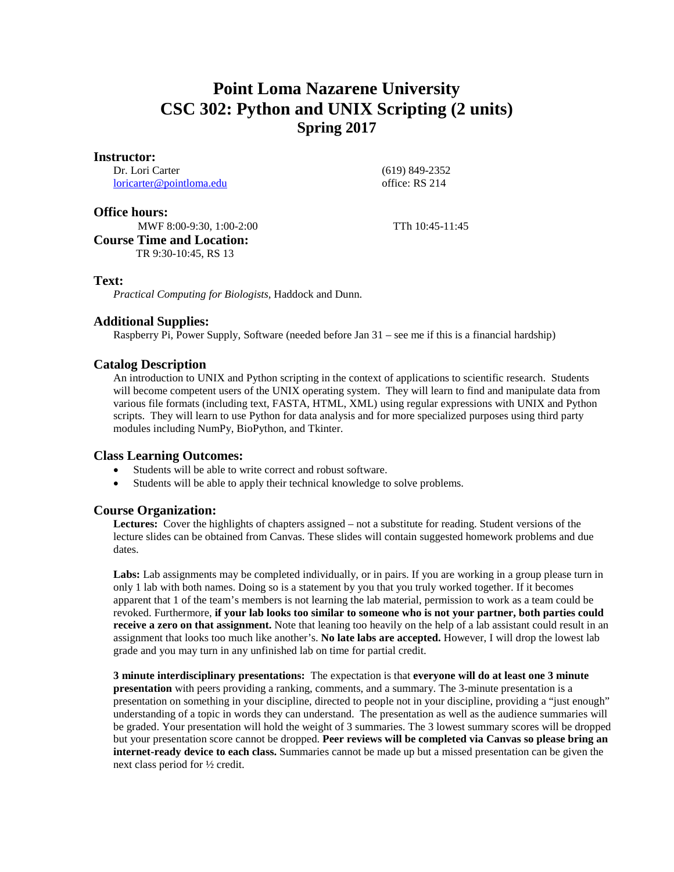# **Point Loma Nazarene University CSC 302: Python and UNIX Scripting (2 units) Spring 2017**

#### **Instructor:**

Dr. Lori Carter [loricarter@pointloma.edu](mailto:loricarter@pointloma.edu)  (619) 849-2352 office: RS 214

## **Office hours:**

MWF 8:00-9:30, 1:00-2:00 TTh 10:45-11:45 **Course Time and Location:** TR 9:30-10:45, RS 13

### **Text:**

*Practical Computing for Biologists,* Haddock and Dunn.

## **Additional Supplies:**

Raspberry Pi, Power Supply, Software (needed before Jan 31 – see me if this is a financial hardship)

## **Catalog Description**

An introduction to UNIX and Python scripting in the context of applications to scientific research. Students will become competent users of the UNIX operating system. They will learn to find and manipulate data from various file formats (including text, FASTA, HTML, XML) using regular expressions with UNIX and Python scripts. They will learn to use Python for data analysis and for more specialized purposes using third party modules including NumPy, BioPython, and Tkinter.

### **Class Learning Outcomes:**

- Students will be able to write correct and robust software.
- Students will be able to apply their technical knowledge to solve problems.

### **Course Organization:**

**Lectures:** Cover the highlights of chapters assigned – not a substitute for reading. Student versions of the lecture slides can be obtained from Canvas. These slides will contain suggested homework problems and due dates.

Labs: Lab assignments may be completed individually, or in pairs. If you are working in a group please turn in only 1 lab with both names. Doing so is a statement by you that you truly worked together. If it becomes apparent that 1 of the team's members is not learning the lab material, permission to work as a team could be revoked. Furthermore, **if your lab looks too similar to someone who is not your partner, both parties could receive a zero on that assignment.** Note that leaning too heavily on the help of a lab assistant could result in an assignment that looks too much like another's. **No late labs are accepted.** However, I will drop the lowest lab grade and you may turn in any unfinished lab on time for partial credit.

**3 minute interdisciplinary presentations:** The expectation is that **everyone will do at least one 3 minute presentation** with peers providing a ranking, comments, and a summary. The 3-minute presentation is a presentation on something in your discipline, directed to people not in your discipline, providing a "just enough" understanding of a topic in words they can understand. The presentation as well as the audience summaries will be graded. Your presentation will hold the weight of 3 summaries. The 3 lowest summary scores will be dropped but your presentation score cannot be dropped. **Peer reviews will be completed via Canvas so please bring an internet-ready device to each class.** Summaries cannot be made up but a missed presentation can be given the next class period for ½ credit.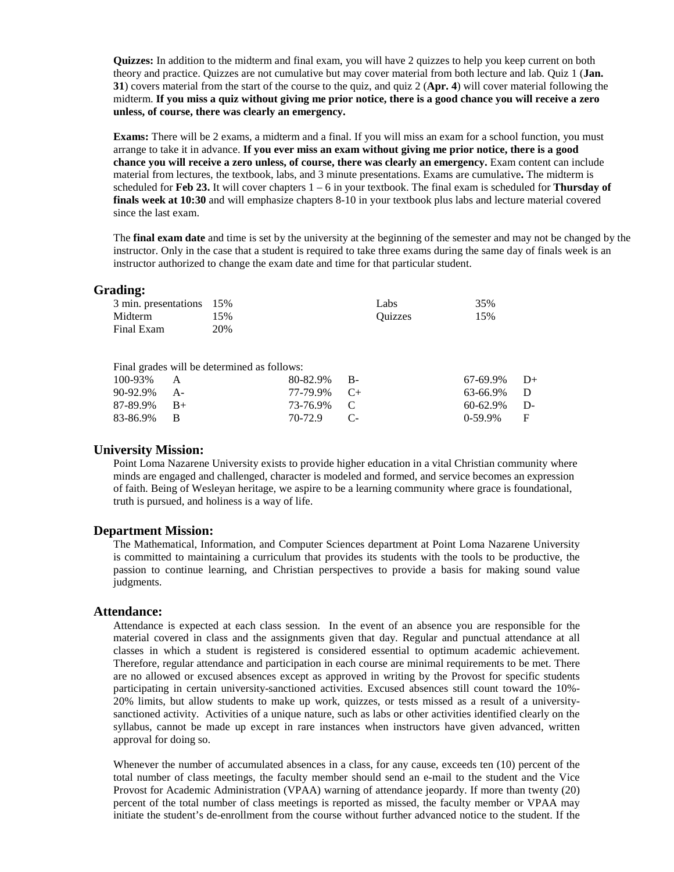**Quizzes:** In addition to the midterm and final exam, you will have 2 quizzes to help you keep current on both theory and practice. Quizzes are not cumulative but may cover material from both lecture and lab. Quiz 1 (**Jan. 31**) covers material from the start of the course to the quiz, and quiz 2 (**Apr. 4**) will cover material following the midterm. **If you miss a quiz without giving me prior notice, there is a good chance you will receive a zero unless, of course, there was clearly an emergency.**

**Exams:** There will be 2 exams, a midterm and a final. If you will miss an exam for a school function, you must arrange to take it in advance. **If you ever miss an exam without giving me prior notice, there is a good chance you will receive a zero unless, of course, there was clearly an emergency.** Exam content can include material from lectures, the textbook, labs, and 3 minute presentations. Exams are cumulative**.** The midterm is scheduled for **Feb 23.** It will cover chapters 1 – 6 in your textbook. The final exam is scheduled for **Thursday of finals week at 10:30** and will emphasize chapters 8-10 in your textbook plus labs and lecture material covered since the last exam.

The **final exam date** and time is set by the university at the beginning of the semester and may not be changed by the instructor. Only in the case that a student is required to take three exams during the same day of finals week is an instructor authorized to change the exam date and time for that particular student.

#### **Grading:**

| 3 min. presentations 15% |     | Labs    | 35% |
|--------------------------|-----|---------|-----|
| Midterm                  | 15% | Ouizzes | 15% |
| Final Exam               | 20% |         |     |

|                | Final grades will be determined as follows: |                |                |  |
|----------------|---------------------------------------------|----------------|----------------|--|
| $100-93\%$ A   |                                             | $80-82.9\%$ B- | $67-69.9\%$ D+ |  |
| 90-92.9% A-    |                                             | $77-79.9\%$ C+ | 63-66.9% D     |  |
| $87-89.9\%$ B+ |                                             | 73-76.9% C     | $60-62.9\%$ D- |  |
| 83-86.9% B     |                                             | 70-72.9 C-     | $0-59.9\%$ F   |  |

### **University Mission:**

Point Loma Nazarene University exists to provide higher education in a vital Christian community where minds are engaged and challenged, character is modeled and formed, and service becomes an expression of faith. Being of Wesleyan heritage, we aspire to be a learning community where grace is foundational, truth is pursued, and holiness is a way of life.

#### **Department Mission:**

The Mathematical, Information, and Computer Sciences department at Point Loma Nazarene University is committed to maintaining a curriculum that provides its students with the tools to be productive, the passion to continue learning, and Christian perspectives to provide a basis for making sound value judgments.

## **Attendance:**

Attendance is expected at each class session. In the event of an absence you are responsible for the material covered in class and the assignments given that day. Regular and punctual attendance at all classes in which a student is registered is considered essential to optimum academic achievement. Therefore, regular attendance and participation in each course are minimal requirements to be met. There are no allowed or excused absences except as approved in writing by the Provost for specific students participating in certain university-sanctioned activities. Excused absences still count toward the 10%- 20% limits, but allow students to make up work, quizzes, or tests missed as a result of a universitysanctioned activity. Activities of a unique nature, such as labs or other activities identified clearly on the syllabus, cannot be made up except in rare instances when instructors have given advanced, written approval for doing so.

Whenever the number of accumulated absences in a class, for any cause, exceeds ten (10) percent of the total number of class meetings, the faculty member should send an e-mail to the student and the Vice Provost for Academic Administration (VPAA) warning of attendance jeopardy. If more than twenty (20) percent of the total number of class meetings is reported as missed, the faculty member or VPAA may initiate the student's de-enrollment from the course without further advanced notice to the student. If the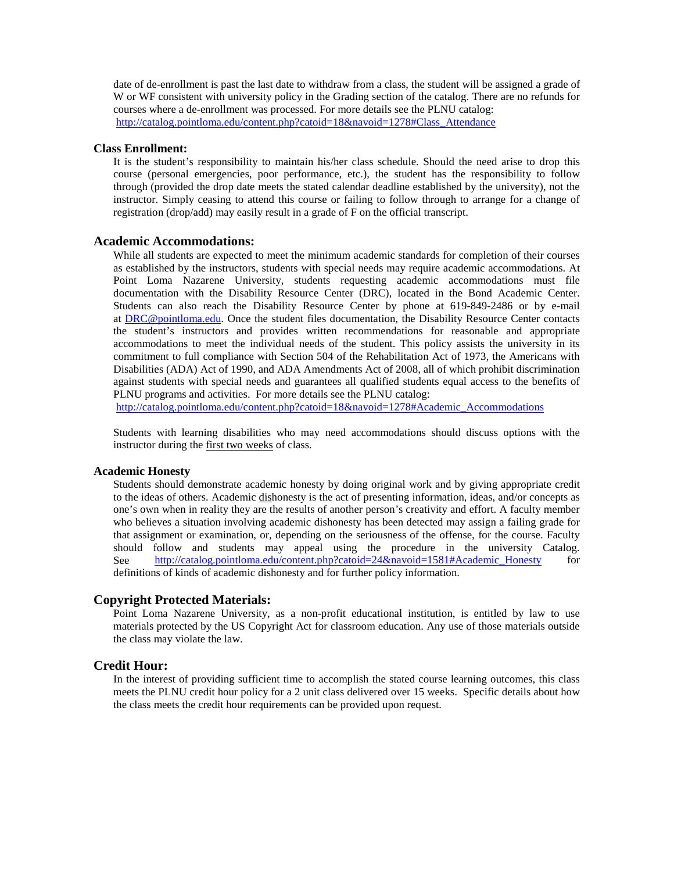date of de-enrollment is past the last date to withdraw from a class, the student will be assigned a grade of W or WF consistent with university policy in the Grading section of the catalog. There are no refunds for courses where a de-enrollment was processed. For more details see the PLNU catalog: [http://catalog.pointloma.edu/content.php?catoid=18&navoid=1278#Class\\_Attendance](http://catalog.pointloma.edu/content.php?catoid=18&navoid=1278#Class_Attendance)

#### **Class Enrollment:**

It is the student's responsibility to maintain his/her class schedule. Should the need arise to drop this course (personal emergencies, poor performance, etc.), the student has the responsibility to follow through (provided the drop date meets the stated calendar deadline established by the university), not the instructor. Simply ceasing to attend this course or failing to follow through to arrange for a change of registration (drop/add) may easily result in a grade of F on the official transcript.

## **Academic Accommodations:**

While all students are expected to meet the minimum academic standards for completion of their courses as established by the instructors, students with special needs may require academic accommodations. At Point Loma Nazarene University, students requesting academic accommodations must file documentation with the Disability Resource Center (DRC), located in the Bond Academic Center. Students can also reach the Disability Resource Center by phone at 619-849-2486 or by e-mail at [DRC@pointloma.edu.](mailto:DRC@pointloma.edu) Once the student files documentation, the Disability Resource Center contacts the student's instructors and provides written recommendations for reasonable and appropriate accommodations to meet the individual needs of the student. This policy assists the university in its commitment to full compliance with Section 504 of the Rehabilitation Act of 1973, the Americans with Disabilities (ADA) Act of 1990, and ADA Amendments Act of 2008, all of which prohibit discrimination against students with special needs and guarantees all qualified students equal access to the benefits of PLNU programs and activities. For more details see the PLNU catalog:

[http://catalog.pointloma.edu/content.php?catoid=18&navoid=1278#Academic\\_Accommodations](http://catalog.pointloma.edu/content.php?catoid=18&navoid=1278#Academic_Accommodations) 

Students with learning disabilities who may need accommodations should discuss options with the instructor during the first two weeks of class.

#### **Academic Honesty**

Students should demonstrate academic honesty by doing original work and by giving appropriate credit to the ideas of others. Academic dishonesty is the act of presenting information, ideas, and/or concepts as one's own when in reality they are the results of another person's creativity and effort. A faculty member who believes a situation involving academic dishonesty has been detected may assign a failing grade for that assignment or examination, or, depending on the seriousness of the offense, for the course. Faculty should follow and students may appeal using the procedure in the university Catalog. See [http://catalog.pointloma.edu/content.php?catoid=24&navoid=1581#Academic\\_Honesty](http://catalog.pointloma.edu/content.php?catoid=24&navoid=1581#Academic_Honesty) for definitions of kinds of academic dishonesty and for further policy information.

#### **Copyright Protected Materials:**

Point Loma Nazarene University, as a non-profit educational institution, is entitled by law to use materials protected by the US Copyright Act for classroom education. Any use of those materials outside the class may violate the law.

#### **Credit Hour:**

In the interest of providing sufficient time to accomplish the stated course learning outcomes, this class meets the PLNU credit hour policy for a 2 unit class delivered over 15 weeks. Specific details about how the class meets the credit hour requirements can be provided upon request.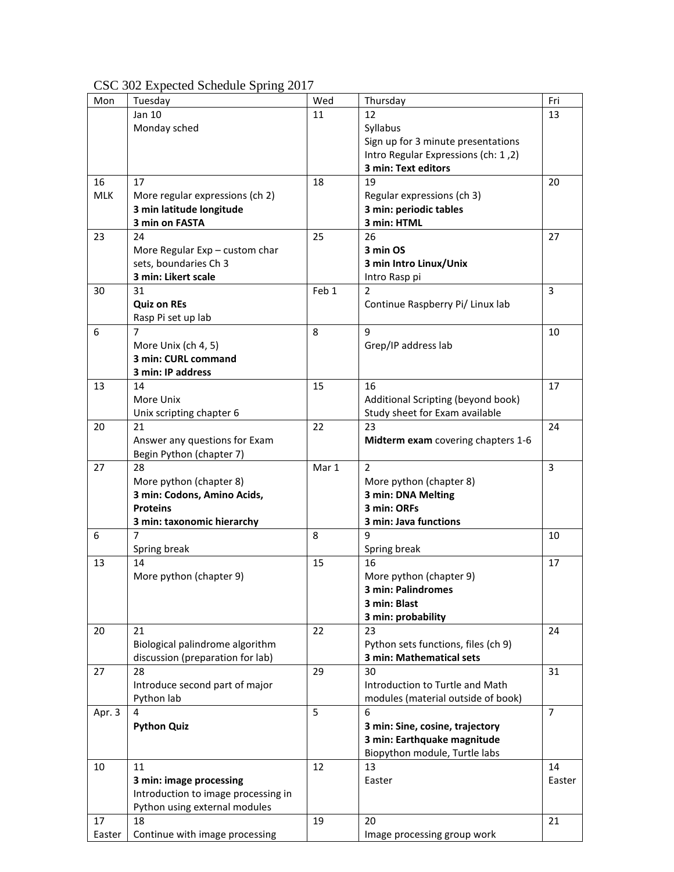| Mon        | Tuesday                                 | Wed   | Thursday                            | Fri            |
|------------|-----------------------------------------|-------|-------------------------------------|----------------|
|            | Jan 10                                  | 11    | 12                                  | 13             |
|            | Monday sched                            |       | Syllabus                            |                |
|            |                                         |       | Sign up for 3 minute presentations  |                |
|            |                                         |       | Intro Regular Expressions (ch: 1,2) |                |
|            |                                         |       | 3 min: Text editors                 |                |
|            |                                         |       | 19                                  |                |
| 16         | 17                                      | 18    |                                     | 20             |
| <b>MLK</b> | More regular expressions (ch 2)         |       | Regular expressions (ch 3)          |                |
|            | 3 min latitude longitude                |       | 3 min: periodic tables              |                |
|            | 3 min on FASTA                          |       | 3 min: HTML                         |                |
| 23         | 24                                      | 25    | 26                                  | 27             |
|            | More Regular $Exp - \text{custom char}$ |       | 3 min OS                            |                |
|            | sets, boundaries Ch 3                   |       | 3 min Intro Linux/Unix              |                |
|            | 3 min: Likert scale                     |       | Intro Rasp pi                       |                |
| 30         | 31                                      | Feb 1 | $\overline{2}$                      | $\overline{3}$ |
|            | <b>Quiz on REs</b>                      |       | Continue Raspberry Pi/ Linux lab    |                |
|            | Rasp Pi set up lab                      |       |                                     |                |
| 6          | 7                                       | 8     | 9                                   | 10             |
|            | More Unix (ch 4, 5)                     |       | Grep/IP address lab                 |                |
|            | 3 min: CURL command                     |       |                                     |                |
|            |                                         |       |                                     |                |
|            | 3 min: IP address                       |       |                                     |                |
| 13         | 14                                      | 15    | 16                                  | 17             |
|            | More Unix                               |       | Additional Scripting (beyond book)  |                |
|            | Unix scripting chapter 6                |       | Study sheet for Exam available      |                |
| 20         | 21                                      | 22    | 23                                  | 24             |
|            | Answer any questions for Exam           |       | Midterm exam covering chapters 1-6  |                |
|            | Begin Python (chapter 7)                |       |                                     |                |
| 27         | 28                                      | Mar 1 | $\overline{2}$                      | $\overline{3}$ |
|            | More python (chapter 8)                 |       | More python (chapter 8)             |                |
|            | 3 min: Codons, Amino Acids,             |       | 3 min: DNA Melting                  |                |
|            | <b>Proteins</b>                         |       | 3 min: ORFs                         |                |
|            | 3 min: taxonomic hierarchy              |       | 3 min: Java functions               |                |
| 6          | 7                                       | 8     | 9                                   | 10             |
|            | Spring break                            |       | Spring break                        |                |
| 13         | 14                                      | 15    | 16                                  | 17             |
|            |                                         |       |                                     |                |
|            | More python (chapter 9)                 |       | More python (chapter 9)             |                |
|            |                                         |       | 3 min: Palindromes                  |                |
|            |                                         |       | 3 min: Blast                        |                |
|            |                                         |       | 3 min: probability                  |                |
| 20         | 21                                      | 22    | 23                                  | 24             |
|            | Biological palindrome algorithm         |       | Python sets functions, files (ch 9) |                |
|            | discussion (preparation for lab)        |       | 3 min: Mathematical sets            |                |
| 27         | 28                                      | 29    | 30                                  | 31             |
|            | Introduce second part of major          |       | Introduction to Turtle and Math     |                |
|            | Python lab                              |       | modules (material outside of book)  |                |
| Apr. 3     | 4                                       | 5     | 6                                   | $\overline{7}$ |
|            | <b>Python Quiz</b>                      |       | 3 min: Sine, cosine, trajectory     |                |
|            |                                         |       | 3 min: Earthquake magnitude         |                |
|            |                                         |       | Biopython module, Turtle labs       |                |
| 10         | 11                                      | 12    | 13                                  | 14             |
|            |                                         |       | Easter                              |                |
|            | 3 min: image processing                 |       |                                     | Easter         |
|            | Introduction to image processing in     |       |                                     |                |
|            | Python using external modules           |       |                                     |                |
| 17         | 18                                      | 19    | 20                                  | 21             |
| Easter     | Continue with image processing          |       | Image processing group work         |                |

## CSC 302 Expected Schedule Spring 2017